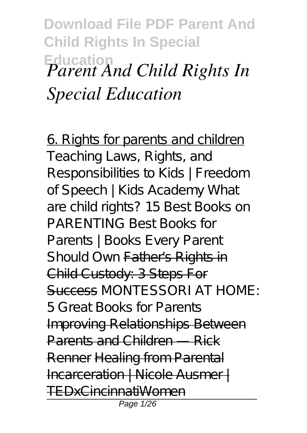**Download File PDF Parent And Child Rights In Special Education** *Parent And Child Rights In Special Education*

6. Rights for parents and children *Teaching Laws, Rights, and Responsibilities to Kids | Freedom of Speech | Kids Academy What are child rights? 15 Best Books on PARENTING* Best Books for Parents | Books Every Parent Should Own Father's Rights in Child Custody: 3 Steps For Success *MONTESSORI AT HOME: 5 Great Books for Parents* Improving Relationships Between Parents and Children — Rick Renner Healing from Parental Incarceration | Nicole Ausmer | TEDxCincinnatiWomen Page 1/26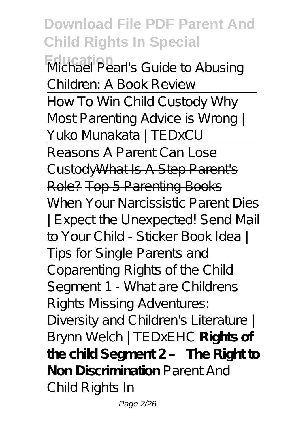**Download File PDF Parent And Child Rights In Special Education** Michael Pearl's Guide to Abusing Children: A Book Review How To Win Child Custody Why Most Parenting Advice is Wrong | Yuko Munakata | TEDxCU Reasons A Parent Can Lose CustodyWhat Is A Step Parent's Role? Top 5 Parenting Books *When Your Narcissistic Parent Dies | Expect the Unexpected!* Send Mail to Your Child - Sticker Book Idea | Tips for Single Parents and Coparenting *Rights of the Child Segment 1 - What are Childrens Rights Missing Adventures: Diversity and Children's Literature | Brynn Welch | TEDxEHC* **Rights of the child Segment 2 – The Right to Non Discrimination** *Parent And Child Rights In*

Page 2/26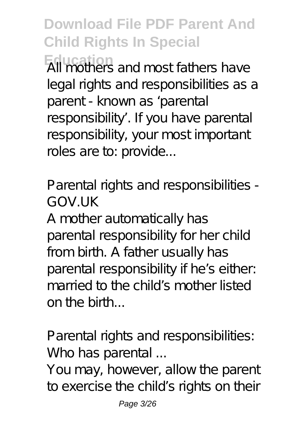**Download File PDF Parent And Child Rights In Special Education** All mothers and most fathers have legal rights and responsibilities as a parent - known as 'parental responsibility'. If you have parental responsibility, your most important roles are to: provide...

*Parental rights and responsibilities - GOV.UK*

A mother automatically has parental responsibility for her child from birth. A father usually has parental responsibility if he's either: married to the child's mother listed on the birth...

*Parental rights and responsibilities: Who has parental ...*

You may, however, allow the parent to exercise the child's rights on their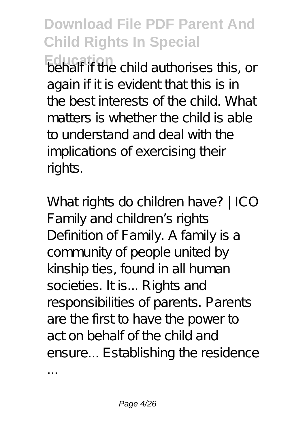**Education** behalf if the child authorises this, or again if it is evident that this is in the best interests of the child. What matters is whether the child is able to understand and deal with the implications of exercising their rights.

*What rights do children have? | ICO* Family and children's rights Definition of Family. A family is a community of people united by kinship ties, found in all human societies. It is... Rights and responsibilities of parents. Parents are the first to have the power to act on behalf of the child and ensure... Establishing the residence

...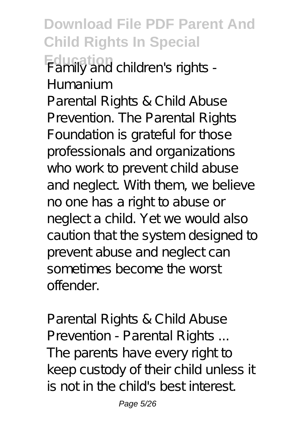**Download File PDF Parent And Child Rights In Special Education** *Family and children's rights - Humanium*

Parental Rights & Child Abuse Prevention. The Parental Rights Foundation is grateful for those professionals and organizations who work to prevent child abuse and neglect. With them, we believe no one has a right to abuse or neglect a child. Yet we would also caution that the system designed to prevent abuse and neglect can sometimes become the worst offender.

*Parental Rights & Child Abuse Prevention - Parental Rights ...* The parents have every right to keep custody of their child unless it is not in the child's best interest.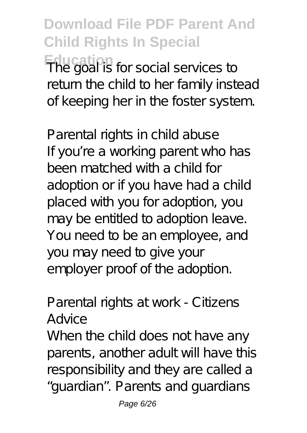## **Download File PDF Parent And Child Rights In Special The goal is for social services to** return the child to her family instead of keeping her in the foster system.

*Parental rights in child abuse* If you're a working parent who has been matched with a child for adoption or if you have had a child placed with you for adoption, you may be entitled to adoption leave. You need to be an employee, and you may need to give your employer proof of the adoption.

### *Parental rights at work - Citizens Advice*

When the child does not have any parents, another adult will have this responsibility and they are called a "guardian". Parents and guardians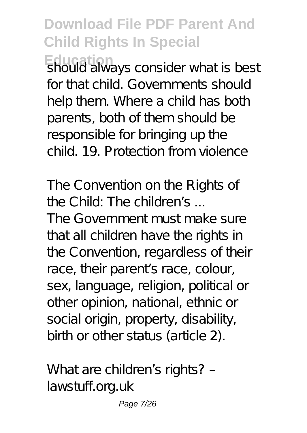**Education** should always consider what is best for that child. Governments should help them. Where a child has both parents, both of them should be responsible for bringing up the child. 19. Protection from violence

*The Convention on the Rights of the Child: The children's ...*

The Government must make sure that all children have the rights in the Convention, regardless of their race, their parent's race, colour, sex, language, religion, political or other opinion, national, ethnic or social origin, property, disability, birth or other status (article 2).

*What are children's rights? – lawstuff.org.uk*

Page 7/26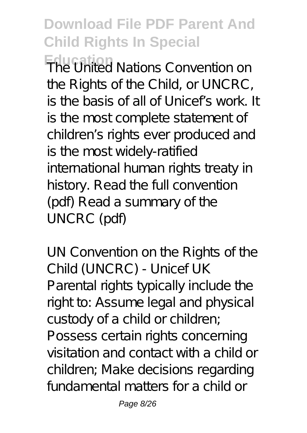**Education** The United Nations Convention on the Rights of the Child, or UNCRC, is the basis of all of Unicef's work. It is the most complete statement of children's rights ever produced and is the most widely-ratified international human rights treaty in history. Read the full convention (pdf) Read a summary of the UNCRC (pdf)

*UN Convention on the Rights of the Child (UNCRC) - Unicef UK* Parental rights typically include the right to: Assume legal and physical custody of a child or children; Possess certain rights concerning visitation and contact with a child or children; Make decisions regarding fundamental matters for a child or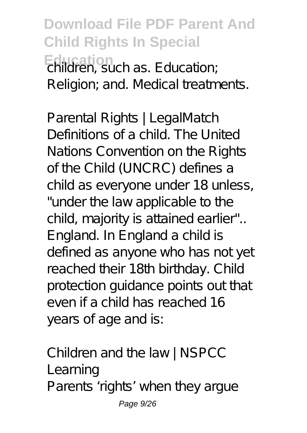**Download File PDF Parent And Child Rights In Special Education** children, such as. Education; Religion; and. Medical treatments.

*Parental Rights | LegalMatch* Definitions of a child. The United Nations Convention on the Rights of the Child (UNCRC) defines a child as everyone under 18 unless, "under the law applicable to the child, majority is attained earlier".. England. In England a child is defined as anyone who has not yet reached their 18th birthday. Child protection guidance points out that even if a child has reached 16 years of age and is:

*Children and the law | NSPCC Learning* Parents 'rights' when they argue Page 9/26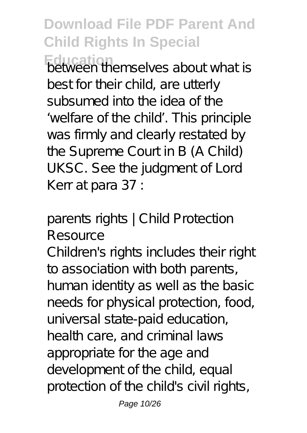**Education** between themselves about what is best for their child, are utterly subsumed into the idea of the 'welfare of the child'. This principle was firmly and clearly restated by the Supreme Court in B (A Child) UKSC. See the judgment of Lord Kerr at para 37 :

### *parents rights | Child Protection Resource*

Children's rights includes their right to association with both parents, human identity as well as the basic needs for physical protection, food, universal state-paid education, health care, and criminal laws appropriate for the age and development of the child, equal protection of the child's civil rights,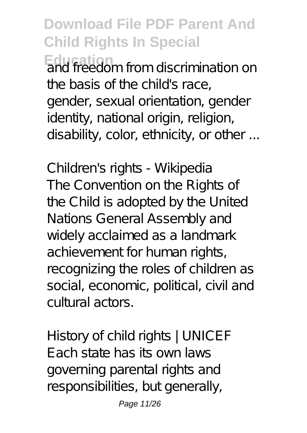**Education** and freedom from discrimination on the basis of the child's race, gender, sexual orientation, gender identity, national origin, religion, disability, color, ethnicity, or other ...

*Children's rights - Wikipedia* The Convention on the Rights of the Child is adopted by the United Nations General Assembly and widely acclaimed as a landmark achievement for human rights, recognizing the roles of children as social, economic, political, civil and cultural actors.

*History of child rights | UNICEF* Each state has its own laws governing parental rights and responsibilities, but generally,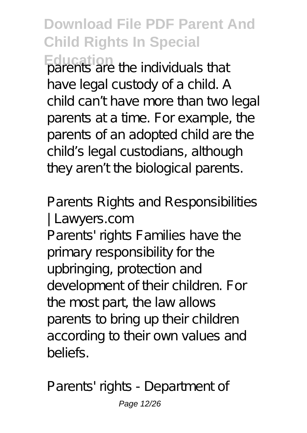**Education** parents are the individuals that have legal custody of a child. A child can't have more than two legal parents at a time. For example, the parents of an adopted child are the child's legal custodians, although they aren't the biological parents.

### *Parents Rights and Responsibilities | Lawyers.com*

Parents' rights Families have the primary responsibility for the upbringing, protection and development of their children. For the most part, the law allows parents to bring up their children according to their own values and beliefs.

*Parents' rights - Department of*

Page 12/26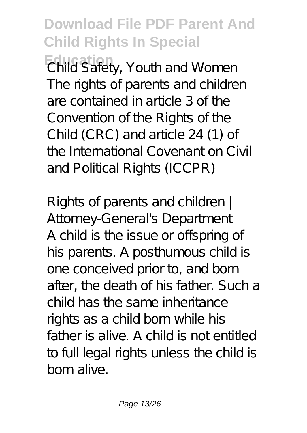**Education** *Child Safety, Youth and Women* The rights of parents and children are contained in article 3 of the Convention of the Rights of the Child (CRC) and article 24 (1) of the International Covenant on Civil and Political Rights (ICCPR)

*Rights of parents and children | Attorney-General's Department* A child is the issue or offspring of his parents. A posthumous child is one conceived prior to, and born after, the death of his father. Such a child has the same inheritance rights as a child born while his father is alive. A child is not entitled to full legal rights unless the child is born alive.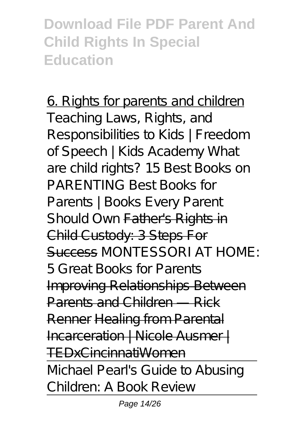6. Rights for parents and children *Teaching Laws, Rights, and Responsibilities to Kids | Freedom of Speech | Kids Academy What are child rights? 15 Best Books on PARENTING* Best Books for Parents | Books Every Parent Should Own Father's Rights in Child Custody: 3 Steps For Success *MONTESSORI AT HOME: 5 Great Books for Parents* Improving Relationships Between Parents and Children — Rick Renner Healing from Parental Incarceration | Nicole Ausmer | TEDxCincinnatiWomen Michael Pearl's Guide to Abusing

Children: A Book Review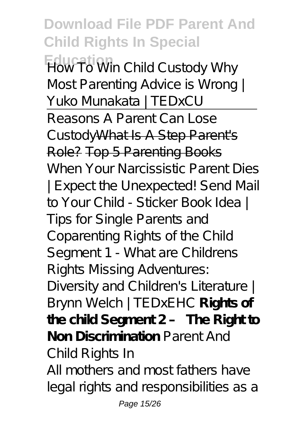**Download File PDF Parent And Child Rights In Special Education** How To Win Child Custody Why Most Parenting Advice is Wrong | Yuko Munakata | TEDxCU Reasons A Parent Can Lose CustodyWhat Is A Step Parent's Role? Top 5 Parenting Books *When Your Narcissistic Parent Dies | Expect the Unexpected!* Send Mail to Your Child - Sticker Book Idea | Tips for Single Parents and Coparenting *Rights of the Child Segment 1 - What are Childrens Rights Missing Adventures: Diversity and Children's Literature | Brynn Welch | TEDxEHC* **Rights of the child Segment 2 – The Right to Non Discrimination** *Parent And Child Rights In* All mothers and most fathers have

legal rights and responsibilities as a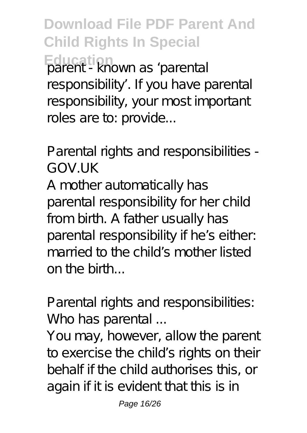**Download File PDF Parent And Child Rights In Special Education** as 'parental responsibility'. If you have parental responsibility, your most important roles are to: provide...

*Parental rights and responsibilities - GOV.UK*

A mother automatically has parental responsibility for her child from birth. A father usually has parental responsibility if he's either: married to the child's mother listed on the birth...

*Parental rights and responsibilities: Who has parental ...*

You may, however, allow the parent to exercise the child's rights on their behalf if the child authorises this, or again if it is evident that this is in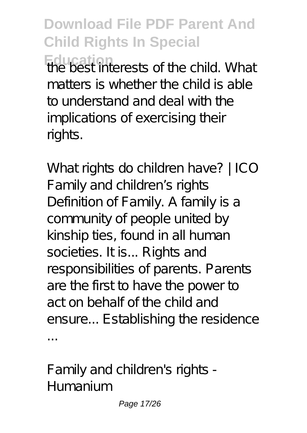**Download File PDF Parent And Child Rights In Special Education**<br>**The best interests of the child. What** matters is whether the child is able to understand and deal with the implications of exercising their rights.

*What rights do children have? | ICO* Family and children's rights Definition of Family. A family is a community of people united by kinship ties, found in all human societies. It is... Rights and responsibilities of parents. Parents are the first to have the power to act on behalf of the child and ensure... Establishing the residence ...

*Family and children's rights - Humanium*

Page 17/26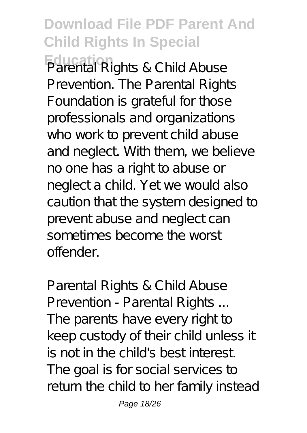**Education** Parental Rights & Child Abuse Prevention. The Parental Rights Foundation is grateful for those professionals and organizations who work to prevent child abuse and neglect. With them, we believe no one has a right to abuse or neglect a child. Yet we would also caution that the system designed to prevent abuse and neglect can sometimes become the worst offender.

*Parental Rights & Child Abuse Prevention - Parental Rights ...* The parents have every right to keep custody of their child unless it is not in the child's best interest. The goal is for social services to return the child to her family instead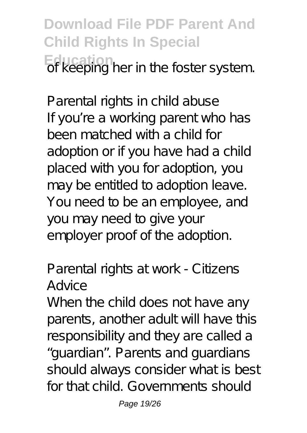**Download File PDF Parent And Child Rights In Special Education** of keeping her in the foster system.

*Parental rights in child abuse* If you're a working parent who has been matched with a child for adoption or if you have had a child placed with you for adoption, you may be entitled to adoption leave. You need to be an employee, and you may need to give your employer proof of the adoption.

#### *Parental rights at work - Citizens Advice*

When the child does not have any parents, another adult will have this responsibility and they are called a "guardian". Parents and guardians should always consider what is best for that child. Governments should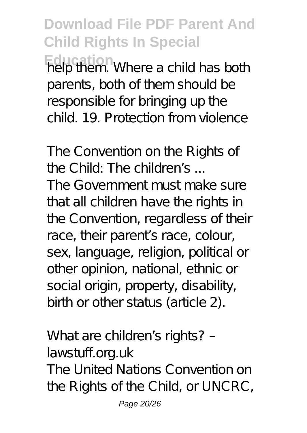**Education Education help them.** Where a child has both parents, both of them should be responsible for bringing up the child. 19. Protection from violence

*The Convention on the Rights of the Child: The children's ...*

The Government must make sure that all children have the rights in the Convention, regardless of their race, their parent's race, colour, sex, language, religion, political or other opinion, national, ethnic or social origin, property, disability, birth or other status (article 2).

*What are children's rights? – lawstuff.org.uk* The United Nations Convention on the Rights of the Child, or UNCRC,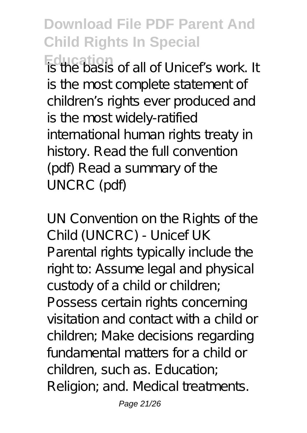**Education** is the basis of all of Unicef's work. It is the most complete statement of children's rights ever produced and is the most widely-ratified international human rights treaty in history. Read the full convention (pdf) Read a summary of the UNCRC (pdf)

*UN Convention on the Rights of the Child (UNCRC) - Unicef UK* Parental rights typically include the right to: Assume legal and physical custody of a child or children; Possess certain rights concerning visitation and contact with a child or children; Make decisions regarding fundamental matters for a child or children, such as. Education; Religion; and. Medical treatments.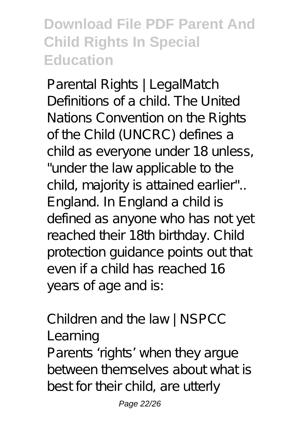*Parental Rights | LegalMatch* Definitions of a child. The United Nations Convention on the Rights of the Child (UNCRC) defines a child as everyone under 18 unless, "under the law applicable to the child, majority is attained earlier".. England. In England a child is defined as anyone who has not yet reached their 18th birthday. Child protection guidance points out that even if a child has reached 16 years of age and is:

*Children and the law | NSPCC Learning*

Parents 'rights' when they argue between themselves about what is best for their child, are utterly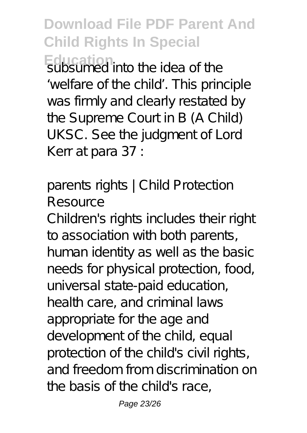**Download File PDF Parent And Child Rights In Special Education** subsumed into the idea of the 'welfare of the child'. This principle was firmly and clearly restated by the Supreme Court in B (A Child) UKSC. See the judgment of Lord Kerr at para 37 :

### *parents rights | Child Protection Resource*

Children's rights includes their right to association with both parents, human identity as well as the basic needs for physical protection, food, universal state-paid education, health care, and criminal laws appropriate for the age and development of the child, equal protection of the child's civil rights, and freedom from discrimination on the basis of the child's race,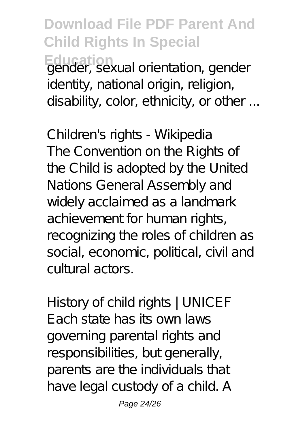## **Download File PDF Parent And Child Rights In Special Education** gender, sexual orientation, gender identity, national origin, religion, disability, color, ethnicity, or other ...

*Children's rights - Wikipedia* The Convention on the Rights of the Child is adopted by the United Nations General Assembly and widely acclaimed as a landmark achievement for human rights, recognizing the roles of children as social, economic, political, civil and cultural actors.

*History of child rights | UNICEF* Each state has its own laws governing parental rights and responsibilities, but generally, parents are the individuals that have legal custody of a child. A

Page 24/26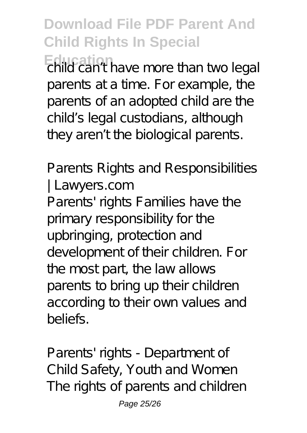**Education** child can't have more than two legal parents at a time. For example, the parents of an adopted child are the child's legal custodians, although they aren't the biological parents.

#### *Parents Rights and Responsibilities | Lawyers.com*

Parents' rights Families have the primary responsibility for the upbringing, protection and development of their children. For the most part, the law allows parents to bring up their children according to their own values and beliefs.

*Parents' rights - Department of Child Safety, Youth and Women* The rights of parents and children